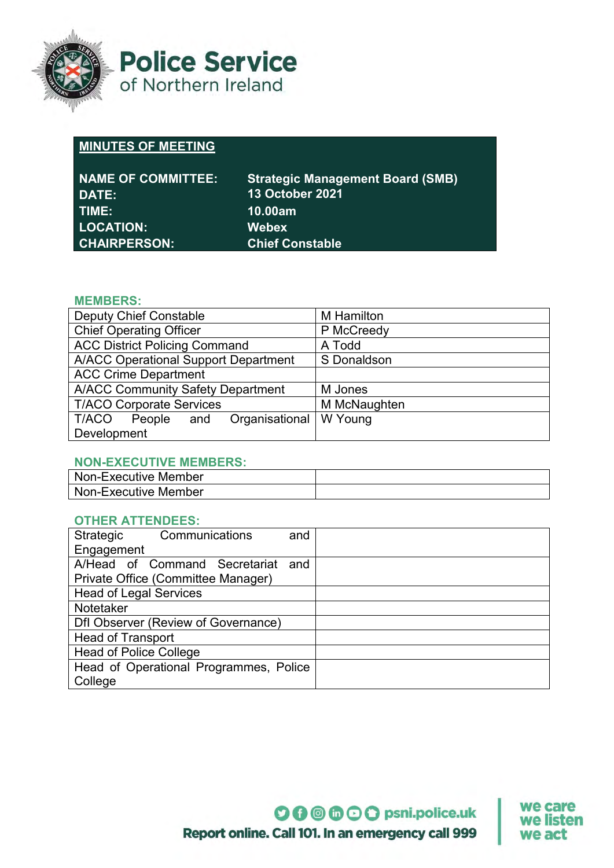

**Police Service** of Northern Ireland

# **MINUTES OF MEETING**

| <b>NAME OF COMMITTEE:</b> | <b>Strategic Management Board (SMB)</b> |
|---------------------------|-----------------------------------------|
| DATE:                     | 13 October 2021                         |
| TIME:                     | <b>10.00am</b>                          |
| <b>LOCATION:</b>          | <b>Webex</b>                            |
| <b>CHAIRPERSON:</b>       | <b>Chief Constable</b>                  |

## **MEMBERS:**

| <b>Deputy Chief Constable</b>               | <b>M</b> Hamilton |
|---------------------------------------------|-------------------|
| <b>Chief Operating Officer</b>              | P McCreedy        |
| <b>ACC District Policing Command</b>        | A Todd            |
| <b>A/ACC Operational Support Department</b> | S Donaldson       |
| <b>ACC Crime Department</b>                 |                   |
| <b>A/ACC Community Safety Department</b>    | M Jones           |
| <b>T/ACO Corporate Services</b>             | M McNaughten      |
| Organisational<br>T/ACO<br>People<br>and    | W Young           |
| Development                                 |                   |

## **NON-EXECUTIVE MEMBERS:**

| Non-Executive Member |  |
|----------------------|--|
| Non-Executive Member |  |

## **OTHER ATTENDEES:**

| Communications<br>Strategic            | and |  |
|----------------------------------------|-----|--|
| Engagement                             |     |  |
| A/Head of Command Secretariat          | and |  |
| Private Office (Committee Manager)     |     |  |
| <b>Head of Legal Services</b>          |     |  |
| Notetaker                              |     |  |
| Dfl Observer (Review of Governance)    |     |  |
| <b>Head of Transport</b>               |     |  |
| <b>Head of Police College</b>          |     |  |
| Head of Operational Programmes, Police |     |  |
| College                                |     |  |

we care we listen we act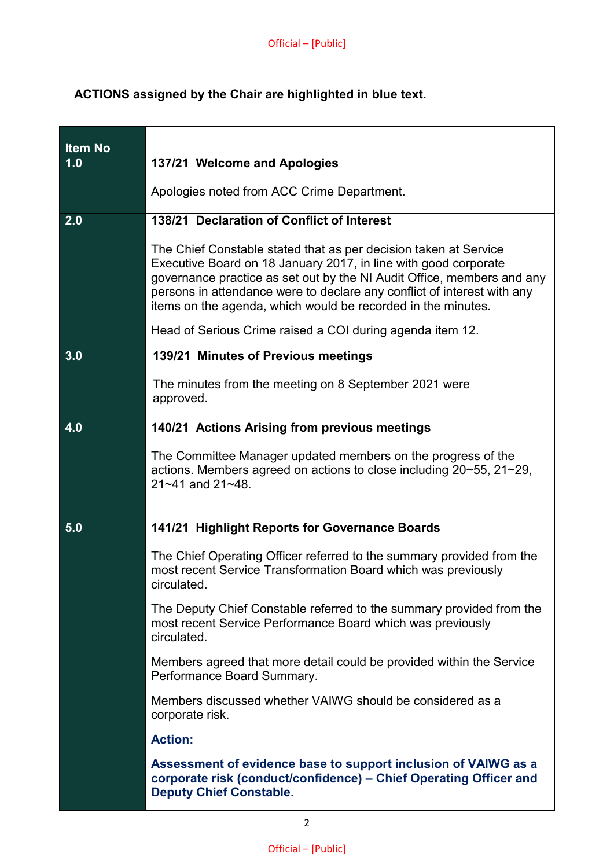## **ACTIONS assigned by the Chair are highlighted in blue text.**

| <b>Item No</b> |                                                                                                                                                                                                                                                                                                                                                          |
|----------------|----------------------------------------------------------------------------------------------------------------------------------------------------------------------------------------------------------------------------------------------------------------------------------------------------------------------------------------------------------|
| 1.0            | 137/21 Welcome and Apologies                                                                                                                                                                                                                                                                                                                             |
|                | Apologies noted from ACC Crime Department.                                                                                                                                                                                                                                                                                                               |
| 2.0            | 138/21 Declaration of Conflict of Interest                                                                                                                                                                                                                                                                                                               |
|                | The Chief Constable stated that as per decision taken at Service<br>Executive Board on 18 January 2017, in line with good corporate<br>governance practice as set out by the NI Audit Office, members and any<br>persons in attendance were to declare any conflict of interest with any<br>items on the agenda, which would be recorded in the minutes. |
|                | Head of Serious Crime raised a COI during agenda item 12.                                                                                                                                                                                                                                                                                                |
| 3.0            | 139/21 Minutes of Previous meetings                                                                                                                                                                                                                                                                                                                      |
|                | The minutes from the meeting on 8 September 2021 were<br>approved.                                                                                                                                                                                                                                                                                       |
| 4.0            | 140/21 Actions Arising from previous meetings                                                                                                                                                                                                                                                                                                            |
|                | The Committee Manager updated members on the progress of the<br>actions. Members agreed on actions to close including 20~55, 21~29,<br>$21 - 41$ and $21 - 48$ .                                                                                                                                                                                         |
| 5.0            | 141/21 Highlight Reports for Governance Boards                                                                                                                                                                                                                                                                                                           |
|                | The Chief Operating Officer referred to the summary provided from the<br>most recent Service Transformation Board which was previously<br>circulated                                                                                                                                                                                                     |
|                | The Deputy Chief Constable referred to the summary provided from the<br>most recent Service Performance Board which was previously<br>circulated.                                                                                                                                                                                                        |
|                | Members agreed that more detail could be provided within the Service<br>Performance Board Summary.                                                                                                                                                                                                                                                       |
|                | Members discussed whether VAIWG should be considered as a<br>corporate risk.                                                                                                                                                                                                                                                                             |
|                | <b>Action:</b>                                                                                                                                                                                                                                                                                                                                           |
|                | Assessment of evidence base to support inclusion of VAIWG as a<br>corporate risk (conduct/confidence) - Chief Operating Officer and<br><b>Deputy Chief Constable.</b>                                                                                                                                                                                    |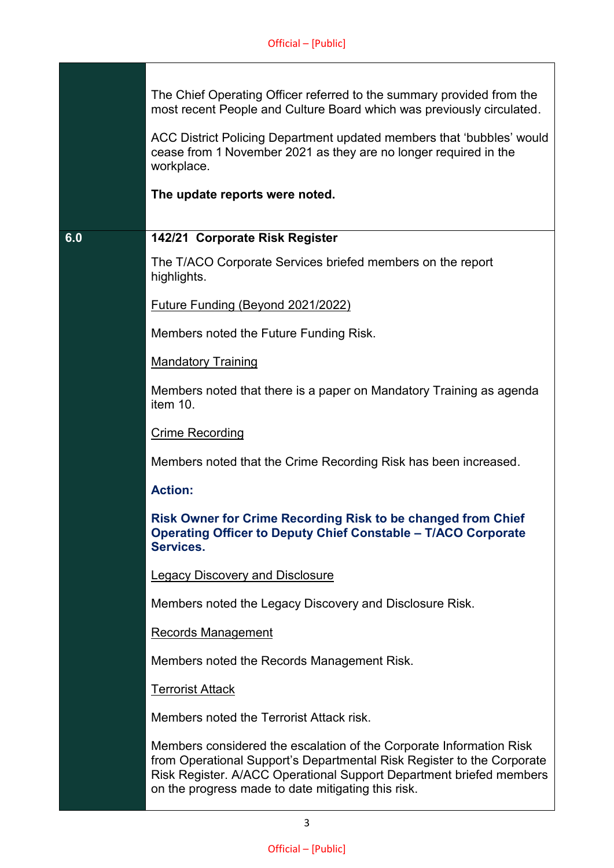| The Chief Operating Officer referred to the summary provided from the |  |
|-----------------------------------------------------------------------|--|
| most recent People and Culture Board which was previously circulated. |  |

ACC District Policing Department updated members that 'bubbles' would cease from 1 November 2021 as they are no longer required in the workplace.

**The update reports were noted.** 

## **6.0 142/21 Corporate Risk Register**

The T/ACO Corporate Services briefed members on the report highlights.

Future Funding (Beyond 2021/2022)

Members noted the Future Funding Risk.

Mandatory Training

Members noted that there is a paper on Mandatory Training as agenda item 10.

Crime Recording

Members noted that the Crime Recording Risk has been increased.

#### **Action:**

**Risk Owner for Crime Recording Risk to be changed from Chief Operating Officer to Deputy Chief Constable – T/ACO Corporate Services.**

Legacy Discovery and Disclosure

Members noted the Legacy Discovery and Disclosure Risk.

Records Management

Members noted the Records Management Risk.

Terrorist Attack

Members noted the Terrorist Attack risk.

Members considered the escalation of the Corporate Information Risk from Operational Support's Departmental Risk Register to the Corporate Risk Register. A/ACC Operational Support Department briefed members on the progress made to date mitigating this risk.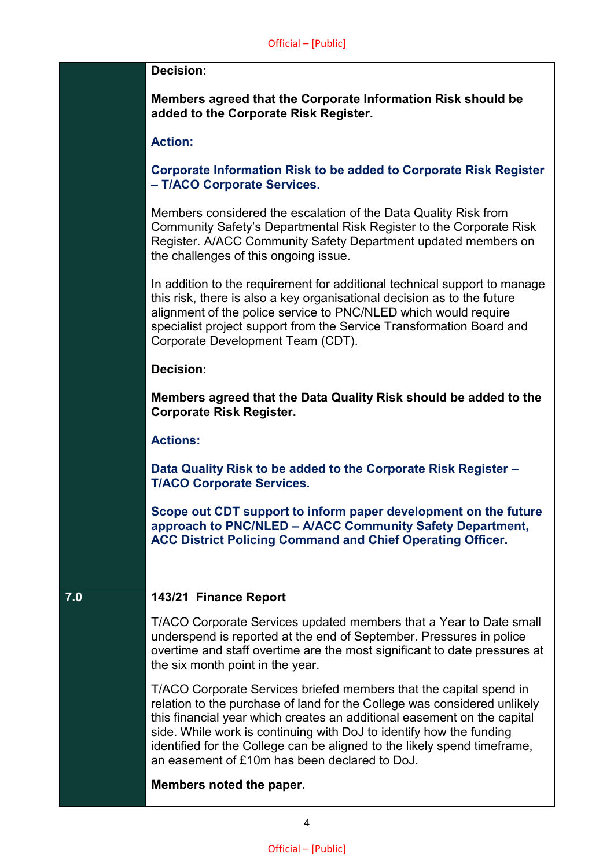#### **Decision:**

**Members agreed that the Corporate Information Risk should be added to the Corporate Risk Register.**

#### **Action:**

**Corporate Information Risk to be added to Corporate Risk Register – T/ACO Corporate Services.**

Members considered the escalation of the Data Quality Risk from Community Safety's Departmental Risk Register to the Corporate Risk Register. A/ACC Community Safety Department updated members on the challenges of this ongoing issue.

In addition to the requirement for additional technical support to manage this risk, there is also a key organisational decision as to the future alignment of the police service to PNC/NLED which would require specialist project support from the Service Transformation Board and Corporate Development Team (CDT).

#### **Decision:**

**Members agreed that the Data Quality Risk should be added to the Corporate Risk Register.**

#### **Actions:**

**Data Quality Risk to be added to the Corporate Risk Register – T/ACO Corporate Services.**

**Scope out CDT support to inform paper development on the future approach to PNC/NLED – A/ACC Community Safety Department, ACC District Policing Command and Chief Operating Officer.**

#### **7.0 143/21 Finance Report**

T/ACO Corporate Services updated members that a Year to Date small underspend is reported at the end of September. Pressures in police overtime and staff overtime are the most significant to date pressures at the six month point in the year.

T/ACO Corporate Services briefed members that the capital spend in relation to the purchase of land for the College was considered unlikely this financial year which creates an additional easement on the capital side. While work is continuing with DoJ to identify how the funding identified for the College can be aligned to the likely spend timeframe, an easement of £10m has been declared to DoJ.

**Members noted the paper.**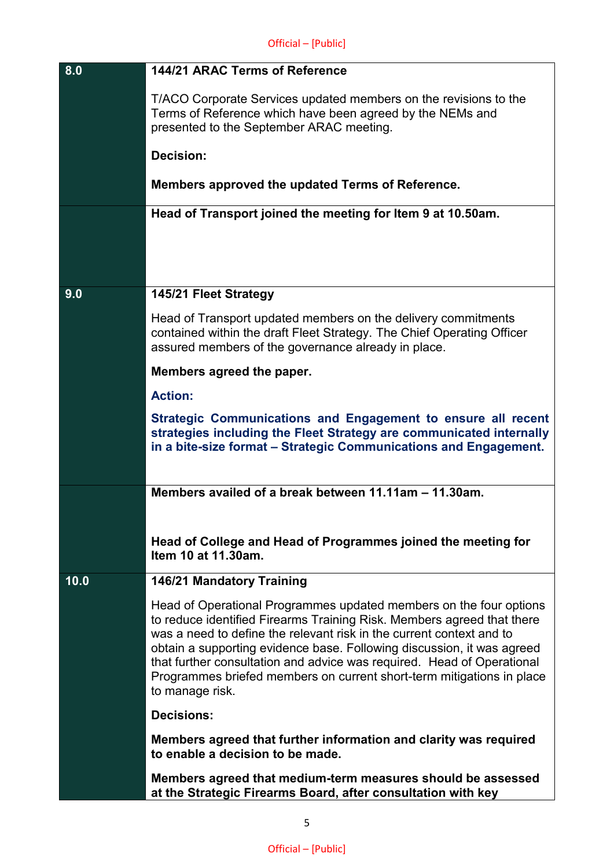| 8.0  | 144/21 ARAC Terms of Reference                                                                                                                                                                                                                                                                                                                                                                                                                                       |
|------|----------------------------------------------------------------------------------------------------------------------------------------------------------------------------------------------------------------------------------------------------------------------------------------------------------------------------------------------------------------------------------------------------------------------------------------------------------------------|
|      | T/ACO Corporate Services updated members on the revisions to the<br>Terms of Reference which have been agreed by the NEMs and<br>presented to the September ARAC meeting.                                                                                                                                                                                                                                                                                            |
|      | Decision:                                                                                                                                                                                                                                                                                                                                                                                                                                                            |
|      | Members approved the updated Terms of Reference.                                                                                                                                                                                                                                                                                                                                                                                                                     |
|      | Head of Transport joined the meeting for Item 9 at 10.50am.                                                                                                                                                                                                                                                                                                                                                                                                          |
|      |                                                                                                                                                                                                                                                                                                                                                                                                                                                                      |
|      |                                                                                                                                                                                                                                                                                                                                                                                                                                                                      |
| 9.0  | 145/21 Fleet Strategy                                                                                                                                                                                                                                                                                                                                                                                                                                                |
|      | Head of Transport updated members on the delivery commitments<br>contained within the draft Fleet Strategy. The Chief Operating Officer<br>assured members of the governance already in place.                                                                                                                                                                                                                                                                       |
|      | Members agreed the paper.                                                                                                                                                                                                                                                                                                                                                                                                                                            |
|      | <b>Action:</b>                                                                                                                                                                                                                                                                                                                                                                                                                                                       |
|      | Strategic Communications and Engagement to ensure all recent<br>strategies including the Fleet Strategy are communicated internally<br>in a bite-size format – Strategic Communications and Engagement.                                                                                                                                                                                                                                                              |
|      | Members availed of a break between 11.11am - 11.30am.                                                                                                                                                                                                                                                                                                                                                                                                                |
|      | Head of College and Head of Programmes joined the meeting for<br>Item 10 at 11.30am.                                                                                                                                                                                                                                                                                                                                                                                 |
| 10.0 | <b>146/21 Mandatory Training</b>                                                                                                                                                                                                                                                                                                                                                                                                                                     |
|      | Head of Operational Programmes updated members on the four options<br>to reduce identified Firearms Training Risk. Members agreed that there<br>was a need to define the relevant risk in the current context and to<br>obtain a supporting evidence base. Following discussion, it was agreed<br>that further consultation and advice was required. Head of Operational<br>Programmes briefed members on current short-term mitigations in place<br>to manage risk. |
|      | <b>Decisions:</b>                                                                                                                                                                                                                                                                                                                                                                                                                                                    |
|      | Members agreed that further information and clarity was required<br>to enable a decision to be made.                                                                                                                                                                                                                                                                                                                                                                 |
|      | Members agreed that medium-term measures should be assessed<br>at the Strategic Firearms Board, after consultation with key                                                                                                                                                                                                                                                                                                                                          |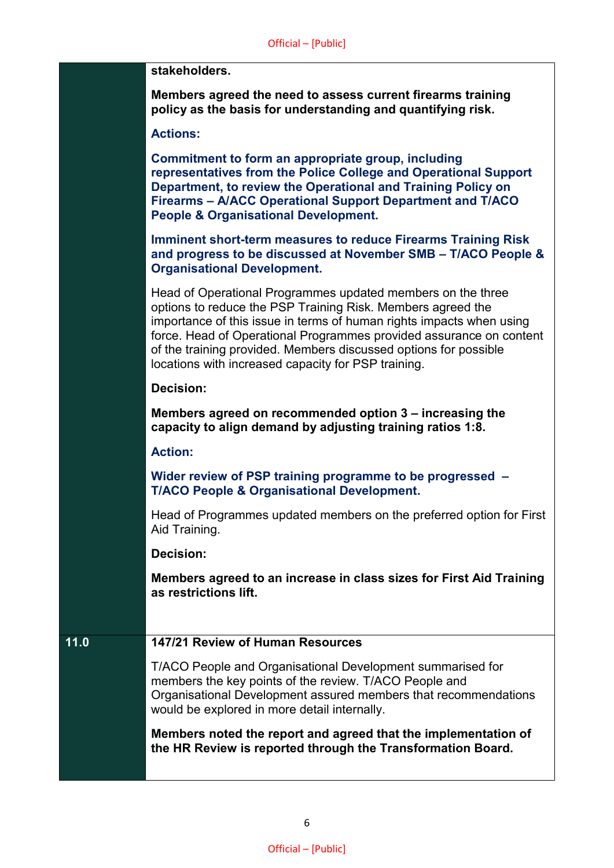#### **stakeholders.**

**Members agreed the need to assess current firearms training policy as the basis for understanding and quantifying risk.**

#### **Actions:**

**Commitment to form an appropriate group, including representatives from the Police College and Operational Support Department, to review the Operational and Training Policy on Firearms – A/ACC Operational Support Department and T/ACO People & Organisational Development.**

**Imminent short-term measures to reduce Firearms Training Risk and progress to be discussed at November SMB – T/ACO People & Organisational Development.**

Head of Operational Programmes updated members on the three options to reduce the PSP Training Risk. Members agreed the importance of this issue in terms of human rights impacts when using force. Head of Operational Programmes provided assurance on content of the training provided. Members discussed options for possible locations with increased capacity for PSP training.

#### **Decision:**

**Members agreed on recommended option 3 – increasing the capacity to align demand by adjusting training ratios 1:8.**

#### **Action:**

**Wider review of PSP training programme to be progressed – T/ACO People & Organisational Development.**

Head of Programmes updated members on the preferred option for First Aid Training.

#### **Decision:**

**Members agreed to an increase in class sizes for First Aid Training as restrictions lift.**

## **11.0 147/21 Review of Human Resources**

T/ACO People and Organisational Development summarised for members the key points of the review. T/ACO People and Organisational Development assured members that recommendations would be explored in more detail internally.

**Members noted the report and agreed that the implementation of the HR Review is reported through the Transformation Board.**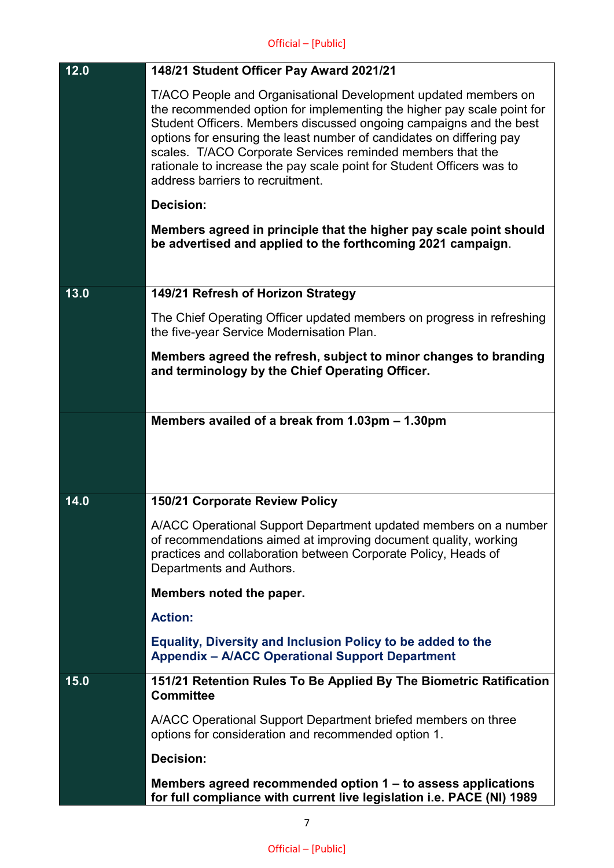| 12.0 | 148/21 Student Officer Pay Award 2021/21                                                                                                                                                                                                                                                                                                                                                                                                                          |
|------|-------------------------------------------------------------------------------------------------------------------------------------------------------------------------------------------------------------------------------------------------------------------------------------------------------------------------------------------------------------------------------------------------------------------------------------------------------------------|
|      | T/ACO People and Organisational Development updated members on<br>the recommended option for implementing the higher pay scale point for<br>Student Officers. Members discussed ongoing campaigns and the best<br>options for ensuring the least number of candidates on differing pay<br>scales. T/ACO Corporate Services reminded members that the<br>rationale to increase the pay scale point for Student Officers was to<br>address barriers to recruitment. |
|      | <b>Decision:</b>                                                                                                                                                                                                                                                                                                                                                                                                                                                  |
|      | Members agreed in principle that the higher pay scale point should<br>be advertised and applied to the forthcoming 2021 campaign.                                                                                                                                                                                                                                                                                                                                 |
| 13.0 | 149/21 Refresh of Horizon Strategy                                                                                                                                                                                                                                                                                                                                                                                                                                |
|      | The Chief Operating Officer updated members on progress in refreshing<br>the five-year Service Modernisation Plan.                                                                                                                                                                                                                                                                                                                                                |
|      | Members agreed the refresh, subject to minor changes to branding<br>and terminology by the Chief Operating Officer.                                                                                                                                                                                                                                                                                                                                               |
|      | Members availed of a break from 1.03pm – 1.30pm                                                                                                                                                                                                                                                                                                                                                                                                                   |
|      |                                                                                                                                                                                                                                                                                                                                                                                                                                                                   |
| 14.0 | 150/21 Corporate Review Policy                                                                                                                                                                                                                                                                                                                                                                                                                                    |
|      | A/ACC Operational Support Department updated members on a number<br>of recommendations aimed at improving document quality, working<br>practices and collaboration between Corporate Policy, Heads of<br>Departments and Authors.                                                                                                                                                                                                                                 |
|      | Members noted the paper.                                                                                                                                                                                                                                                                                                                                                                                                                                          |
|      | <b>Action:</b>                                                                                                                                                                                                                                                                                                                                                                                                                                                    |
|      | <b>Equality, Diversity and Inclusion Policy to be added to the</b><br><b>Appendix - A/ACC Operational Support Department</b>                                                                                                                                                                                                                                                                                                                                      |
| 15.0 | 151/21 Retention Rules To Be Applied By The Biometric Ratification<br><b>Committee</b>                                                                                                                                                                                                                                                                                                                                                                            |
|      | A/ACC Operational Support Department briefed members on three<br>options for consideration and recommended option 1.                                                                                                                                                                                                                                                                                                                                              |
|      | <b>Decision:</b>                                                                                                                                                                                                                                                                                                                                                                                                                                                  |
|      | Members agreed recommended option 1 – to assess applications<br>for full compliance with current live legislation i.e. PACE (NI) 1989                                                                                                                                                                                                                                                                                                                             |